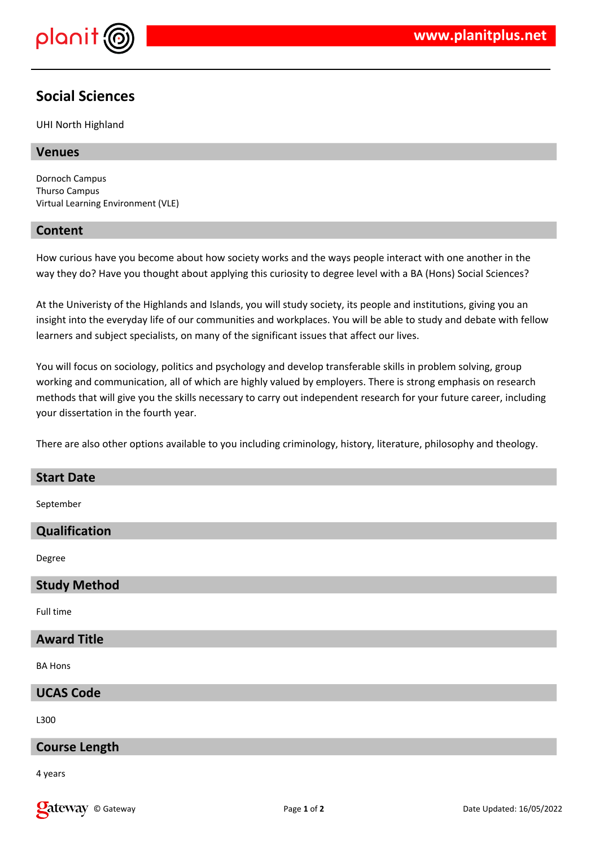

# **Social Sciences**

UHI North Highland

## **Venues**

Dornoch Campus Thurso Campus Virtual Learning Environment (VLE)

### **Content**

How curious have you become about how society works and the ways people interact with one another in the way they do? Have you thought about applying this curiosity to degree level with a BA (Hons) Social Sciences?

At the Univeristy of the Highlands and Islands, you will study society, its people and institutions, giving you an insight into the everyday life of our communities and workplaces. You will be able to study and debate with fellow learners and subject specialists, on many of the significant issues that affect our lives.

You will focus on sociology, politics and psychology and develop transferable skills in problem solving, group working and communication, all of which are highly valued by employers. There is strong emphasis on research methods that will give you the skills necessary to carry out independent research for your future career, including your dissertation in the fourth year.

There are also other options available to you including criminology, history, literature, philosophy and theology.

#### **Start Date**

September

## **Qualification**

Degree

#### **Study Method**

Full time

# **Award Title**

BA Hons

## **UCAS Code**

L300

## **Course Length**

4 years